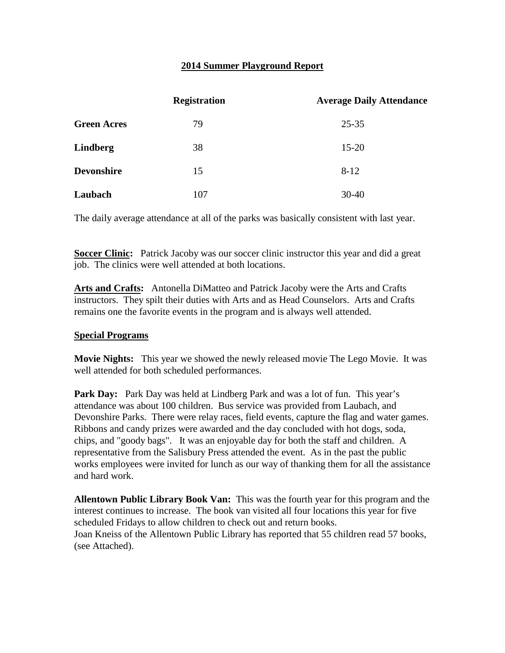## **2014 Summer Playground Report**

|                    | <b>Registration</b> | <b>Average Daily Attendance</b> |
|--------------------|---------------------|---------------------------------|
| <b>Green Acres</b> | 79                  | $25 - 35$                       |
| <b>Lindberg</b>    | 38                  | $15 - 20$                       |
| <b>Devonshire</b>  | 15                  | $8-12$                          |
| Laubach            | 107                 | $30-40$                         |

The daily average attendance at all of the parks was basically consistent with last year.

**Soccer Clinic:** Patrick Jacoby was our soccer clinic instructor this year and did a great job. The clinics were well attended at both locations.

**Arts and Crafts:** Antonella DiMatteo and Patrick Jacoby were the Arts and Crafts instructors. They spilt their duties with Arts and as Head Counselors. Arts and Crafts remains one the favorite events in the program and is always well attended.

## **Special Programs**

**Movie Nights:** This year we showed the newly released movie The Lego Movie. It was well attended for both scheduled performances.

Park Day: Park Day was held at Lindberg Park and was a lot of fun. This year's attendance was about 100 children. Bus service was provided from Laubach, and Devonshire Parks. There were relay races, field events, capture the flag and water games. Ribbons and candy prizes were awarded and the day concluded with hot dogs, soda, chips, and "goody bags". It was an enjoyable day for both the staff and children. A representative from the Salisbury Press attended the event. As in the past the public works employees were invited for lunch as our way of thanking them for all the assistance and hard work.

**Allentown Public Library Book Van:** This was the fourth year for this program and the interest continues to increase. The book van visited all four locations this year for five scheduled Fridays to allow children to check out and return books. Joan Kneiss of the Allentown Public Library has reported that 55 children read 57 books, (see Attached).